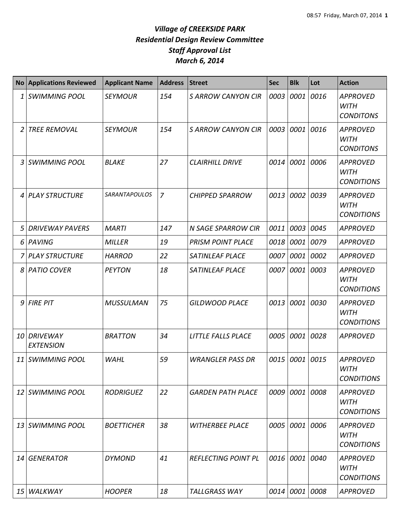|                 | <b>No Applications Reviewed</b>     | <b>Applicant Name</b> | <b>Address</b> | <b>Street</b>              | <b>Sec</b> | <b>Blk</b>     | Lot  | <b>Action</b>                                       |
|-----------------|-------------------------------------|-----------------------|----------------|----------------------------|------------|----------------|------|-----------------------------------------------------|
| 1               | <b>SWIMMING POOL</b>                | <b>SEYMOUR</b>        | 154            | <b>S ARROW CANYON CIR</b>  | 0003       | 0001           | 0016 | <b>APPROVED</b><br><b>WITH</b><br><b>CONDITONS</b>  |
| 2               | <b>TREE REMOVAL</b>                 | <b>SEYMOUR</b>        | 154            | <b>S ARROW CANYON CIR</b>  | 0003       | 0001 0016      |      | <b>APPROVED</b><br><b>WITH</b><br><b>CONDITONS</b>  |
| 3               | <b>SWIMMING POOL</b>                | <b>BLAKE</b>          | 27             | <b>CLAIRHILL DRIVE</b>     | 0014       | 0001           | 0006 | <b>APPROVED</b><br><b>WITH</b><br><b>CONDITIONS</b> |
| 4               | <b>PLAY STRUCTURE</b>               | <b>SARANTAPOULOS</b>  | $\overline{7}$ | <b>CHIPPED SPARROW</b>     | 0013       | 0002           | 0039 | <b>APPROVED</b><br><b>WITH</b><br><b>CONDITIONS</b> |
| 5               | <b>DRIVEWAY PAVERS</b>              | <b>MARTI</b>          | 147            | <b>N SAGE SPARROW CIR</b>  | 0011       | 0003           | 0045 | <b>APPROVED</b>                                     |
| 6               | PAVING                              | <b>MILLER</b>         | 19             | <b>PRISM POINT PLACE</b>   | 0018       | 0001           | 0079 | <b>APPROVED</b>                                     |
| 7               | PLAY STRUCTURE                      | <b>HARROD</b>         | 22             | <b>SATINLEAF PLACE</b>     | 0007       | 0001 0002      |      | <b>APPROVED</b>                                     |
|                 | 8 PATIO COVER                       | <b>PEYTON</b>         | 18             | <b>SATINLEAF PLACE</b>     | 0007       | 0001           | 0003 | <b>APPROVED</b><br><b>WITH</b><br><b>CONDITIONS</b> |
| 9               | <b>FIRE PIT</b>                     | <b>MUSSULMAN</b>      | 75             | <b>GILDWOOD PLACE</b>      | 0013       | 0001           | 0030 | <b>APPROVED</b><br><b>WITH</b><br><b>CONDITIONS</b> |
| 10              | <b>DRIVEWAY</b><br><b>EXTENSION</b> | <b>BRATTON</b>        | 34             | LITTLE FALLS PLACE         | 0005       | 0001           | 0028 | <b>APPROVED</b>                                     |
| 11              | <b>SWIMMING POOL</b>                | <b>WAHL</b>           | 59             | <b>WRANGLER PASS DR</b>    | 0015       | 0001           | 0015 | <b>APPROVED</b><br><b>WITH</b><br><b>CONDITIONS</b> |
|                 | 12 SWIMMING POOL                    | <b>RODRIGUEZ</b>      | 22             | <b>GARDEN PATH PLACE</b>   |            | 0009 0001 0008 |      | <b>APPROVED</b><br><b>WITH</b><br><b>CONDITIONS</b> |
|                 | 13 SWIMMING POOL                    | <b>BOETTICHER</b>     | 38             | <b>WITHERBEE PLACE</b>     | 0005       | 0001 0006      |      | <b>APPROVED</b><br>WITH<br><b>CONDITIONS</b>        |
| 14              | <b>GENERATOR</b>                    | <b>DYMOND</b>         | 41             | <b>REFLECTING POINT PL</b> | 0016       | 0001 0040      |      | <b>APPROVED</b><br><b>WITH</b><br><b>CONDITIONS</b> |
| 15 <sup>1</sup> | WALKWAY                             | <b>HOOPER</b>         | 18             | <b>TALLGRASS WAY</b>       |            | 0014 0001 0008 |      | <b>APPROVED</b>                                     |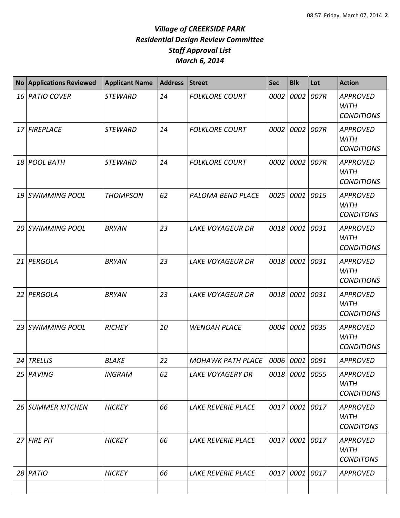| <b>No</b> | <b>Applications Reviewed</b> | <b>Applicant Name</b> | <b>Address</b> | <b>Street</b>             | <b>Sec</b> | <b>Blk</b>     | Lot  | <b>Action</b>                                       |
|-----------|------------------------------|-----------------------|----------------|---------------------------|------------|----------------|------|-----------------------------------------------------|
|           | 16 PATIO COVER               | <b>STEWARD</b>        | 14             | <b>FOLKLORE COURT</b>     | 0002       | 0002 007R      |      | <b>APPROVED</b><br><b>WITH</b><br><b>CONDITIONS</b> |
|           | 17 FIREPLACE                 | <b>STEWARD</b>        | 14             | <b>FOLKLORE COURT</b>     | 0002       | 0002 007R      |      | <b>APPROVED</b><br><b>WITH</b><br><b>CONDITIONS</b> |
| 18        | <b>POOL BATH</b>             | <b>STEWARD</b>        | 14             | <b>FOLKLORE COURT</b>     | 0002       | 0002           | 007R | <b>APPROVED</b><br><b>WITH</b><br><b>CONDITIONS</b> |
| 19        | <b>SWIMMING POOL</b>         | <b>THOMPSON</b>       | 62             | <b>PALOMA BEND PLACE</b>  | 0025       | 0001           | 0015 | <b>APPROVED</b><br><b>WITH</b><br><b>CONDITONS</b>  |
| 20        | <b>SWIMMING POOL</b>         | <b>BRYAN</b>          | 23             | <b>LAKE VOYAGEUR DR</b>   | 0018       | 0001 0031      |      | <b>APPROVED</b><br><b>WITH</b><br><b>CONDITIONS</b> |
| 21        | PERGOLA                      | <b>BRYAN</b>          | 23             | <b>LAKE VOYAGEUR DR</b>   | 0018       | 0001 0031      |      | <b>APPROVED</b><br><b>WITH</b><br><b>CONDITIONS</b> |
| 22        | PERGOLA                      | <b>BRYAN</b>          | 23             | <b>LAKE VOYAGEUR DR</b>   | 0018       | 0001 0031      |      | <b>APPROVED</b><br><b>WITH</b><br><b>CONDITIONS</b> |
| 23        | <b>SWIMMING POOL</b>         | <b>RICHEY</b>         | 10             | <b>WENOAH PLACE</b>       | 0004       | 0001           | 0035 | <b>APPROVED</b><br><b>WITH</b><br><b>CONDITIONS</b> |
| 24        | <b>TRELLIS</b>               | <b>BLAKE</b>          | 22             | <b>MOHAWK PATH PLACE</b>  | 0006       | 0001           | 0091 | <b>APPROVED</b>                                     |
| 25        | PAVING                       | <b>INGRAM</b>         | 62             | <b>LAKE VOYAGERY DR</b>   |            | 0018 0001 0055 |      | <b>APPROVED</b><br><b>WITH</b><br><b>CONDITIONS</b> |
|           | 26 SUMMER KITCHEN            | <b>HICKEY</b>         | 66             | <b>LAKE REVERIE PLACE</b> | 0017       | 0001 0017      |      | <b>APPROVED</b><br><b>WITH</b><br><b>CONDITONS</b>  |
|           | 27 FIRE PIT                  | <b>HICKEY</b>         | 66             | <b>LAKE REVERIE PLACE</b> | 0017       | 0001 0017      |      | <b>APPROVED</b><br><b>WITH</b><br><b>CONDITONS</b>  |
|           | $28$ PATIO                   | <b>HICKEY</b>         | 66             | <b>LAKE REVERIE PLACE</b> | 0017       | 0001 0017      |      | <b>APPROVED</b>                                     |
|           |                              |                       |                |                           |            |                |      |                                                     |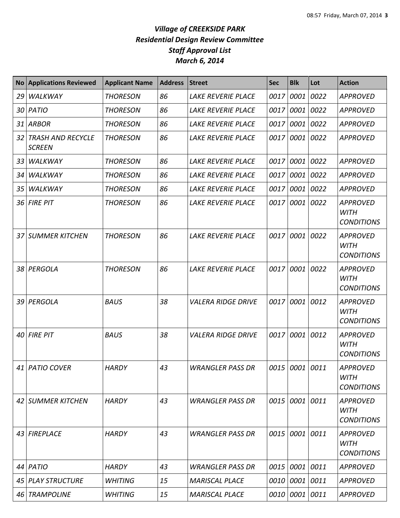| <b>No</b> | <b>Applications Reviewed</b>              | <b>Applicant Name</b> | <b>Address</b> | <b>Street</b>             | <b>Sec</b> | <b>Blk</b>     | Lot  | <b>Action</b>                                       |
|-----------|-------------------------------------------|-----------------------|----------------|---------------------------|------------|----------------|------|-----------------------------------------------------|
| 29        | <b>WALKWAY</b>                            | <b>THORESON</b>       | 86             | <b>LAKE REVERIE PLACE</b> | 0017       | 0001           | 0022 | <b>APPROVED</b>                                     |
| 30        | PATIO                                     | <b>THORESON</b>       | 86             | <b>LAKE REVERIE PLACE</b> | 0017       | 0001           | 0022 | <b>APPROVED</b>                                     |
| 31        | <b>ARBOR</b>                              | <b>THORESON</b>       | 86             | <b>LAKE REVERIE PLACE</b> | 0017       | 0001           | 0022 | <b>APPROVED</b>                                     |
| 32        | <b>TRASH AND RECYCLE</b><br><b>SCREEN</b> | <b>THORESON</b>       | 86             | <b>LAKE REVERIE PLACE</b> | 0017       | 0001           | 0022 | <b>APPROVED</b>                                     |
| 33        | WALKWAY                                   | <b>THORESON</b>       | 86             | <b>LAKE REVERIE PLACE</b> | 0017       | 0001           | 0022 | <b>APPROVED</b>                                     |
| 34        | <b>WALKWAY</b>                            | <b>THORESON</b>       | 86             | <b>LAKE REVERIE PLACE</b> | 0017       | 0001           | 0022 | <b>APPROVED</b>                                     |
| 35        | WALKWAY                                   | <b>THORESON</b>       | 86             | <b>LAKE REVERIE PLACE</b> | 0017       | 0001           | 0022 | <b>APPROVED</b>                                     |
| 36        | <b>FIRE PIT</b>                           | <b>THORESON</b>       | 86             | <b>LAKE REVERIE PLACE</b> | 0017       | 0001           | 0022 | <b>APPROVED</b><br><b>WITH</b><br><b>CONDITIONS</b> |
| 37        | <b>SUMMER KITCHEN</b>                     | <b>THORESON</b>       | 86             | <b>LAKE REVERIE PLACE</b> | 0017       | 0001           | 0022 | <b>APPROVED</b><br><b>WITH</b><br><b>CONDITIONS</b> |
| 38        | PERGOLA                                   | <b>THORESON</b>       | 86             | <b>LAKE REVERIE PLACE</b> | 0017       | 0001           | 0022 | <b>APPROVED</b><br><b>WITH</b><br><b>CONDITIONS</b> |
| 39        | PERGOLA                                   | <b>BAUS</b>           | 38             | <b>VALERA RIDGE DRIVE</b> | 0017       | 0001           | 0012 | <b>APPROVED</b><br><b>WITH</b><br><b>CONDITIONS</b> |
| 40        | <b>FIRE PIT</b>                           | <b>BAUS</b>           | 38             | <b>VALERA RIDGE DRIVE</b> | 0017       | 0001           | 0012 | <b>APPROVED</b><br><b>WITH</b><br><b>CONDITIONS</b> |
|           | 41   PATIO COVER                          | <b>HARDY</b>          | 43             | WRANGLER PASS DR          |            | 0015 0001 0011 |      | <b>APPROVED</b><br><b>WITH</b><br><b>CONDITIONS</b> |
|           | 42 SUMMER KITCHEN                         | <b>HARDY</b>          | 43             | <b>WRANGLER PASS DR</b>   |            | 0015 0001 0011 |      | <b>APPROVED</b><br><b>WITH</b><br><b>CONDITIONS</b> |
| 43        | <b>FIREPLACE</b>                          | <b>HARDY</b>          | 43             | <b>WRANGLER PASS DR</b>   | 0015       | 0001           | 0011 | <b>APPROVED</b><br><b>WITH</b><br><b>CONDITIONS</b> |
|           | 44 PATIO                                  | <b>HARDY</b>          | 43             | <b>WRANGLER PASS DR</b>   | 0015       | 0001 0011      |      | <b>APPROVED</b>                                     |
|           | 45 PLAY STRUCTURE                         | <b>WHITING</b>        | 15             | <b>MARISCAL PLACE</b>     |            | 0010 0001 0011 |      | <b>APPROVED</b>                                     |
| 46        | <b>TRAMPOLINE</b>                         | <b>WHITING</b>        | 15             | <b>MARISCAL PLACE</b>     | 0010       | 0001           | 0011 | <b>APPROVED</b>                                     |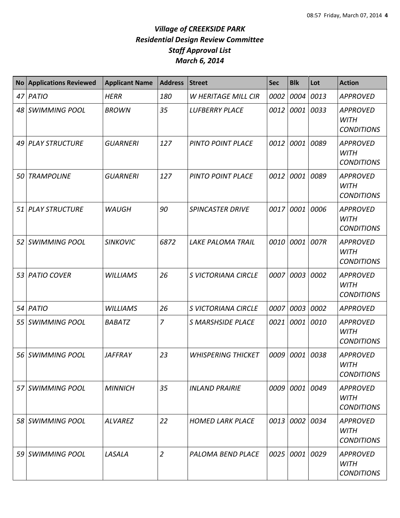| <b>No</b>       | <b>Applications Reviewed</b> | <b>Applicant Name</b> | <b>Address</b> | <b>Street</b>              | <b>Sec</b> | <b>Blk</b>     | Lot  | <b>Action</b>                                       |
|-----------------|------------------------------|-----------------------|----------------|----------------------------|------------|----------------|------|-----------------------------------------------------|
| 47              | PATIO                        | <b>HERR</b>           | 180            | W HERITAGE MILL CIR        | 0002       | 0004           | 0013 | <b>APPROVED</b>                                     |
| 48              | <b>SWIMMING POOL</b>         | <b>BROWN</b>          | 35             | <b>LUFBERRY PLACE</b>      | 0012       | 0001           | 0033 | <b>APPROVED</b><br><b>WITH</b><br><b>CONDITIONS</b> |
| 49              | <b>PLAY STRUCTURE</b>        | <b>GUARNERI</b>       | 127            | <b>PINTO POINT PLACE</b>   | 0012       | 0001           | 0089 | <b>APPROVED</b><br><b>WITH</b><br><b>CONDITIONS</b> |
| 50              | <b>TRAMPOLINE</b>            | <b>GUARNERI</b>       | 127            | <b>PINTO POINT PLACE</b>   | 0012       | 0001           | 0089 | <b>APPROVED</b><br><b>WITH</b><br><b>CONDITIONS</b> |
| 51              | <b>PLAY STRUCTURE</b>        | <b>WAUGH</b>          | 90             | <b>SPINCASTER DRIVE</b>    | 0017       | 0001           | 0006 | <b>APPROVED</b><br><b>WITH</b><br><b>CONDITIONS</b> |
| 52 <sub>1</sub> | <b>SWIMMING POOL</b>         | <b>SINKOVIC</b>       | 6872           | <b>LAKE PALOMA TRAIL</b>   | 0010       | 0001           | 007R | <b>APPROVED</b><br><b>WITH</b><br><b>CONDITIONS</b> |
| 53              | <b>PATIO COVER</b>           | <b>WILLIAMS</b>       | 26             | <b>S VICTORIANA CIRCLE</b> | 0007       | 0003           | 0002 | <b>APPROVED</b><br><b>WITH</b><br><b>CONDITIONS</b> |
| 54              | PATIO                        | <b>WILLIAMS</b>       | 26             | S VICTORIANA CIRCLE        | 0007       | 0003           | 0002 | <b>APPROVED</b>                                     |
| 55              | <b>SWIMMING POOL</b>         | <b>BABATZ</b>         | $\overline{7}$ | <b>S MARSHSIDE PLACE</b>   |            | 0021 0001      | 0010 | <b>APPROVED</b><br><b>WITH</b><br><b>CONDITIONS</b> |
| 56 l            | <b>SWIMMING POOL</b>         | <b>JAFFRAY</b>        | 23             | <b>WHISPERING THICKET</b>  | 0009       | 0001           | 0038 | <b>APPROVED</b><br><b>WITH</b><br><b>CONDITIONS</b> |
|                 | 57 SWIMMING POOL             | <b>MINNICH</b>        | 35             | <b>INLAND PRAIRIE</b>      | 0009       | 0001 0049      |      | <b>APPROVED</b><br>WITH<br><b>CONDITIONS</b>        |
|                 | 58 SWIMMING POOL             | <b>ALVAREZ</b>        | 22             | <b>HOMED LARK PLACE</b>    |            | 0013 0002 0034 |      | <b>APPROVED</b><br><b>WITH</b><br><b>CONDITIONS</b> |
|                 | 59 SWIMMING POOL             | LASALA                | $\overline{2}$ | PALOMA BEND PLACE          |            | 0025 0001 0029 |      | <b>APPROVED</b><br><b>WITH</b><br><b>CONDITIONS</b> |